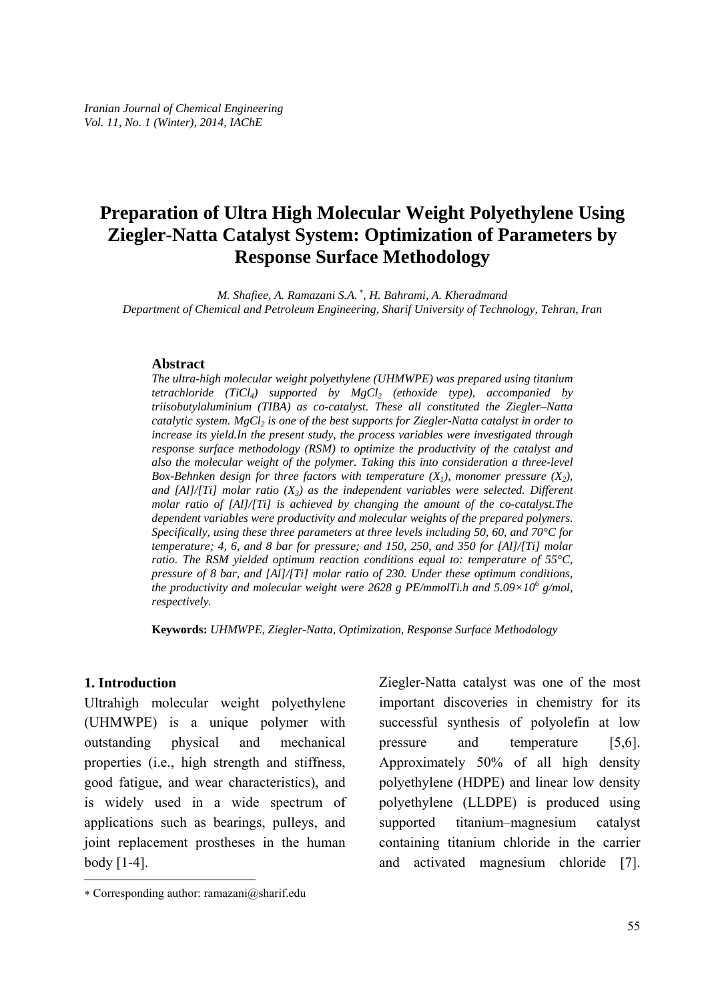# **Preparation of Ultra High Molecular Weight Polyethylene Using Ziegler-Natta Catalyst System: Optimization of Parameters by Response Surface Methodology**

*M. Shafiee, A. Ramazani S.A.* <sup>∗</sup> *, H. Bahrami, A. Kheradmand Department of Chemical and Petroleum Engineering, Sharif University of Technology, Tehran, Iran* 

#### **Abstract**

*The ultra-high molecular weight polyethylene (UHMWPE) was prepared using titanium tetrachloride* (TiCl<sub>4</sub>) supported by  $MgCl$ <sub>2</sub> (ethoxide type), accompanied by *triisobutylaluminium (TIBA) as co-catalyst. These all constituted the Ziegler–Natta catalytic system. MgCl<sub>2</sub> is one of the best supports for Ziegler-Natta catalyst in order to increase its yield.In the present study, the process variables were investigated through response surface methodology (RSM) to optimize the productivity of the catalyst and also the molecular weight of the polymer. Taking this into consideration a three-level Box-Behnken design for three factors with temperature*  $(X_1)$ *, monomer pressure*  $(X_2)$ *,* and  $[A]/[Ti]$  molar ratio  $(X_3)$  as the independent variables were selected. Different *molar ratio of [Al]/[Ti] is achieved by changing the amount of the co-catalyst.The dependent variables were productivity and molecular weights of the prepared polymers. Specifically, using these three parameters at three levels including 50, 60, and 70°C for temperature; 4, 6, and 8 bar for pressure; and 150, 250, and 350 for [Al]/[Ti] molar ratio. The RSM yielded optimum reaction conditions equal to: temperature of 55°C, pressure of 8 bar, and [Al]/[Ti] molar ratio of 230. Under these optimum conditions, the productivity and molecular weight were 2628 g PE/mmolTi.h and 5.09×10<sup>6</sup> g/mol, respectively.* 

**Keywords:** *UHMWPE, Ziegler-Natta, Optimization, Response Surface Methodology* 

### **1. Introduction**

-

Ultrahigh molecular weight polyethylene (UHMWPE) is a unique polymer with outstanding physical and mechanical properties (i.e., high strength and stiffness, good fatigue, and wear characteristics), and is widely used in a wide spectrum of applications such as bearings, pulleys, and joint replacement prostheses in the human body [1-4].

Ziegler-Natta catalyst was one of the most important discoveries in chemistry for its successful synthesis of polyolefin at low pressure and temperature [5,6]. Approximately 50% of all high density polyethylene (HDPE) and linear low density polyethylene (LLDPE) is produced using supported titanium–magnesium catalyst containing titanium chloride in the carrier and activated magnesium chloride [7].

<sup>∗</sup> Corresponding author: ramazani@sharif.edu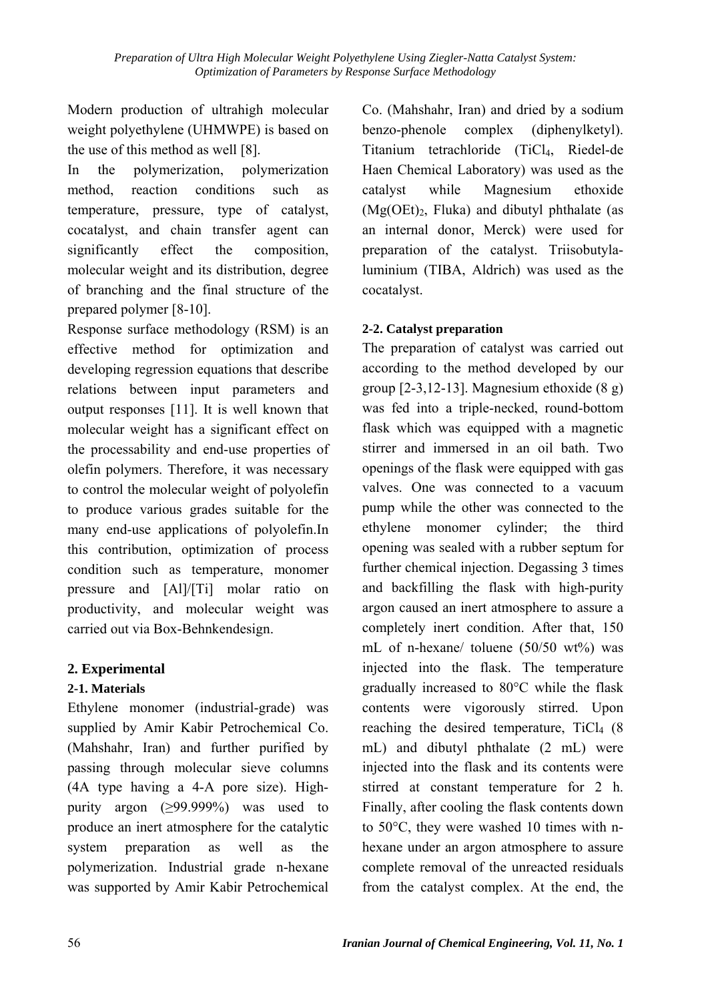Modern production of ultrahigh molecular weight polyethylene (UHMWPE) is based on the use of this method as well [8].

In the polymerization, polymerization method, reaction conditions such as temperature, pressure, type of catalyst, cocatalyst, and chain transfer agent can significantly effect the composition, molecular weight and its distribution, degree of branching and the final structure of the prepared polymer [8-10].

Response surface methodology (RSM) is an effective method for optimization and developing regression equations that describe relations between input parameters and output responses [11]. It is well known that molecular weight has a significant effect on the processability and end-use properties of olefin polymers. Therefore, it was necessary to control the molecular weight of polyolefin to produce various grades suitable for the many end-use applications of polyolefin.In this contribution, optimization of process condition such as temperature, monomer pressure and [Al]/[Ti] molar ratio on productivity, and molecular weight was carried out via Box-Behnkendesign.

## **2. Experimental**

## **2-1. Materials**

Ethylene monomer (industrial-grade) was supplied by Amir Kabir Petrochemical Co. (Mahshahr, Iran) and further purified by passing through molecular sieve columns (4A type having a 4-A pore size). Highpurity argon (≥99.999%) was used to produce an inert atmosphere for the catalytic system preparation as well as the polymerization. Industrial grade n-hexane was supported by Amir Kabir Petrochemical Co. (Mahshahr, Iran) and dried by a sodium benzo-phenole complex (diphenylketyl). Titanium tetrachloride (TiCl4, Riedel-de Haen Chemical Laboratory) was used as the catalyst while Magnesium ethoxide  $(Mg(OEt)_{2}$ , Fluka) and dibutyl phthalate (as an internal donor, Merck) were used for preparation of the catalyst. Triisobutylaluminium (TIBA, Aldrich) was used as the cocatalyst.

## **2-2. Catalyst preparation**

The preparation of catalyst was carried out according to the method developed by our group [2-3,12-13]. Magnesium ethoxide (8 g) was fed into a triple-necked, round-bottom flask which was equipped with a magnetic stirrer and immersed in an oil bath. Two openings of the flask were equipped with gas valves. One was connected to a vacuum pump while the other was connected to the ethylene monomer cylinder; the third opening was sealed with a rubber septum for further chemical injection. Degassing 3 times and backfilling the flask with high-purity argon caused an inert atmosphere to assure a completely inert condition. After that, 150 mL of n-hexane/ toluene (50/50 wt%) was injected into the flask. The temperature gradually increased to 80°C while the flask contents were vigorously stirred. Upon reaching the desired temperature,  $TiCl<sub>4</sub>$  (8) mL) and dibutyl phthalate (2 mL) were injected into the flask and its contents were stirred at constant temperature for 2 h. Finally, after cooling the flask contents down to 50°C, they were washed 10 times with nhexane under an argon atmosphere to assure complete removal of the unreacted residuals from the catalyst complex. At the end, the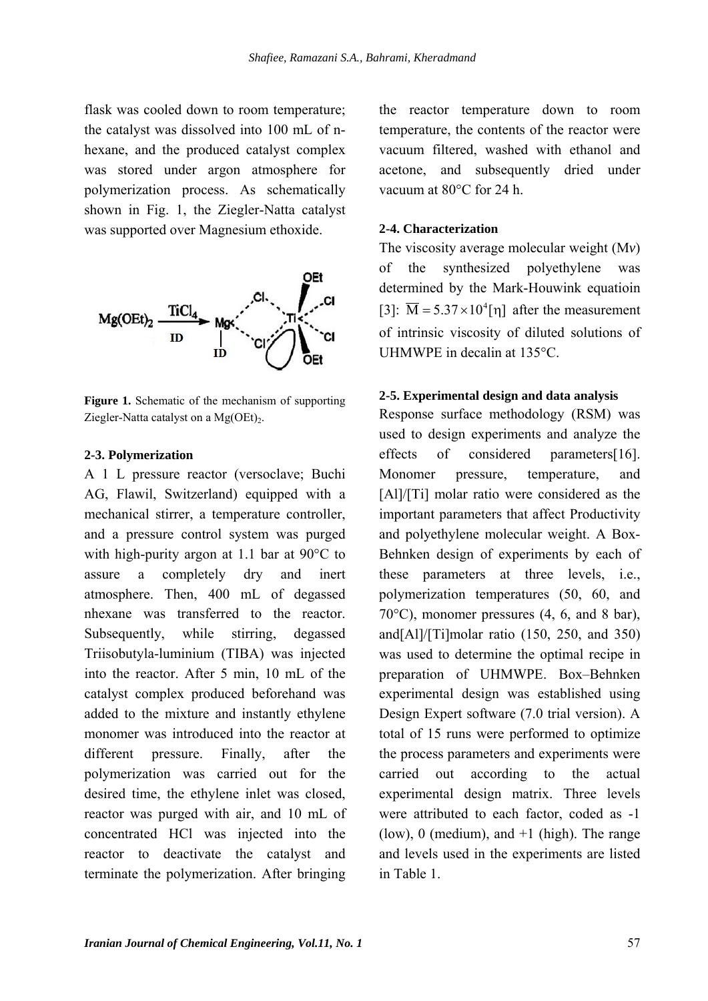flask was cooled down to room temperature; the catalyst was dissolved into 100 mL of nhexane, and the produced catalyst complex was stored under argon atmosphere for polymerization process. As schematically shown in Fig. 1, the Ziegler-Natta catalyst was supported over Magnesium ethoxide.



Figure 1. Schematic of the mechanism of supporting Ziegler-Natta catalyst on a  $Mg(OEt)_{2}$ .

### **2-3. Polymerization**

A 1 L pressure reactor (versoclave; Buchi AG, Flawil, Switzerland) equipped with a mechanical stirrer, a temperature controller, and a pressure control system was purged with high-purity argon at 1.1 bar at 90°C to assure a completely dry and inert atmosphere. Then, 400 mL of degassed nhexane was transferred to the reactor. Subsequently, while stirring, degassed Triisobutyla-luminium (TIBA) was injected into the reactor. After 5 min, 10 mL of the catalyst complex produced beforehand was added to the mixture and instantly ethylene monomer was introduced into the reactor at different pressure. Finally, after the polymerization was carried out for the desired time, the ethylene inlet was closed, reactor was purged with air, and 10 mL of concentrated HCl was injected into the reactor to deactivate the catalyst and terminate the polymerization. After bringing the reactor temperature down to room temperature, the contents of the reactor were vacuum filtered, washed with ethanol and acetone, and subsequently dried under vacuum at 80°C for 24 h.

### **2-4. Characterization**

The viscosity average molecular weight (M*v*) of the synthesized polyethylene was determined by the Mark-Houwink equatioin [3]:  $\overline{M} = 5.37 \times 10^4$ [n] after the measurement of intrinsic viscosity of diluted solutions of UHMWPE in decalin at 135°C.

### **2-5. Experimental design and data analysis**

Response surface methodology (RSM) was used to design experiments and analyze the effects of considered parameters[16]. Monomer pressure, temperature, and [Al]/[Ti] molar ratio were considered as the important parameters that affect Productivity and polyethylene molecular weight. A Box-Behnken design of experiments by each of these parameters at three levels, i.e., polymerization temperatures (50, 60, and 70°C), monomer pressures (4, 6, and 8 bar), and[Al]/[Ti]molar ratio (150, 250, and 350) was used to determine the optimal recipe in preparation of UHMWPE. Box–Behnken experimental design was established using Design Expert software (7.0 trial version). A total of 15 runs were performed to optimize the process parameters and experiments were carried out according to the actual experimental design matrix. Three levels were attributed to each factor, coded as -1 (low), 0 (medium), and  $+1$  (high). The range and levels used in the experiments are listed in Table 1.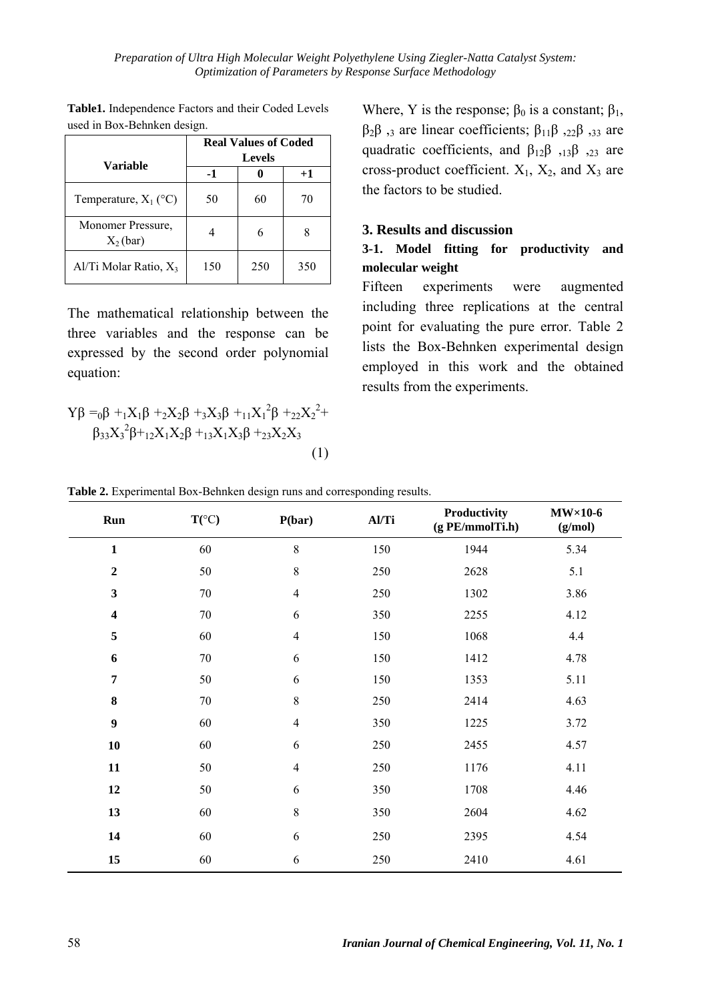|                                   | <b>Real Values of Coded</b><br><b>Levels</b> |     |      |  |
|-----------------------------------|----------------------------------------------|-----|------|--|
| Variable                          | -1                                           |     | $+1$ |  |
| Temperature, $X_1$ (°C)           | 50                                           | 60  | 70   |  |
| Monomer Pressure.<br>$X_2(bar)$   |                                              | 6   |      |  |
| Al/Ti Molar Ratio, X <sub>3</sub> | 150                                          | 250 | 350  |  |

**Table1.** Independence Factors and their Coded Levels used in Box-Behnken design.

The mathematical relationship between the three variables and the response can be expressed by the second order polynomial equation:

$$
Y\beta = {}_{0}\beta + {}_{1}X_{1}\beta + {}_{2}X_{2}\beta + {}_{3}X_{3}\beta + {}_{11}X_{1}^{2}\beta + {}_{22}X_{2}^{2} + {}_{3}S_{3}X_{3}^{2}\beta + {}_{12}X_{1}X_{2}\beta + {}_{13}X_{1}X_{3}\beta + {}_{23}X_{2}X_{3}
$$
\n(1)

Where, Y is the response;  $\beta_0$  is a constant;  $\beta_1$ ,  $β<sub>2</sub>β$ , are linear coefficients;  $β<sub>11</sub>β$ ,  $22β$ ,  $33$  are quadratic coefficients, and  $\beta_{12}\beta_{,13}\beta_{,23}$  are cross-product coefficient.  $X_1$ ,  $X_2$ , and  $X_3$  are the factors to be studied.

## **3. Results and discussion**

## **3-1. Model fitting for productivity and molecular weight**

Fifteen experiments were augmented including three replications at the central point for evaluating the pure error. Table 2 lists the Box-Behnken experimental design employed in this work and the obtained results from the experiments.

|  | Table 2. Experimental Box-Behnken design runs and corresponding results. |  |  |
|--|--------------------------------------------------------------------------|--|--|
|  |                                                                          |  |  |

| Run                     | $T({}^{\circ}C)$ | P(bar)         | Al/Ti | Productivity<br>(gPE/mmolTi.h) | $MW\times10-6$<br>(g/mol) |
|-------------------------|------------------|----------------|-------|--------------------------------|---------------------------|
| $\mathbf{1}$            | 60               | 8              | 150   | 1944                           | 5.34                      |
| $\boldsymbol{2}$        | 50               | 8              | 250   | 2628                           | 5.1                       |
| $\mathbf{3}$            | $70\,$           | $\overline{4}$ | 250   | 1302                           | 3.86                      |
| $\overline{\mathbf{4}}$ | $70\,$           | 6              | 350   | 2255                           | 4.12                      |
| 5                       | 60               | $\overline{4}$ | 150   | 1068                           | 4.4                       |
| 6                       | $70\,$           | 6              | 150   | 1412                           | 4.78                      |
| $\overline{7}$          | 50               | 6              | 150   | 1353                           | 5.11                      |
| ${\bf 8}$               | 70               | 8              | 250   | 2414                           | 4.63                      |
| $\boldsymbol{9}$        | 60               | $\overline{4}$ | 350   | 1225                           | 3.72                      |
| 10                      | 60               | 6              | 250   | 2455                           | 4.57                      |
| 11                      | 50               | $\overline{4}$ | 250   | 1176                           | 4.11                      |
| 12                      | 50               | 6              | 350   | 1708                           | 4.46                      |
| 13                      | 60               | 8              | 350   | 2604                           | 4.62                      |
| 14                      | 60               | 6              | 250   | 2395                           | 4.54                      |
| 15                      | 60               | 6              | 250   | 2410                           | 4.61                      |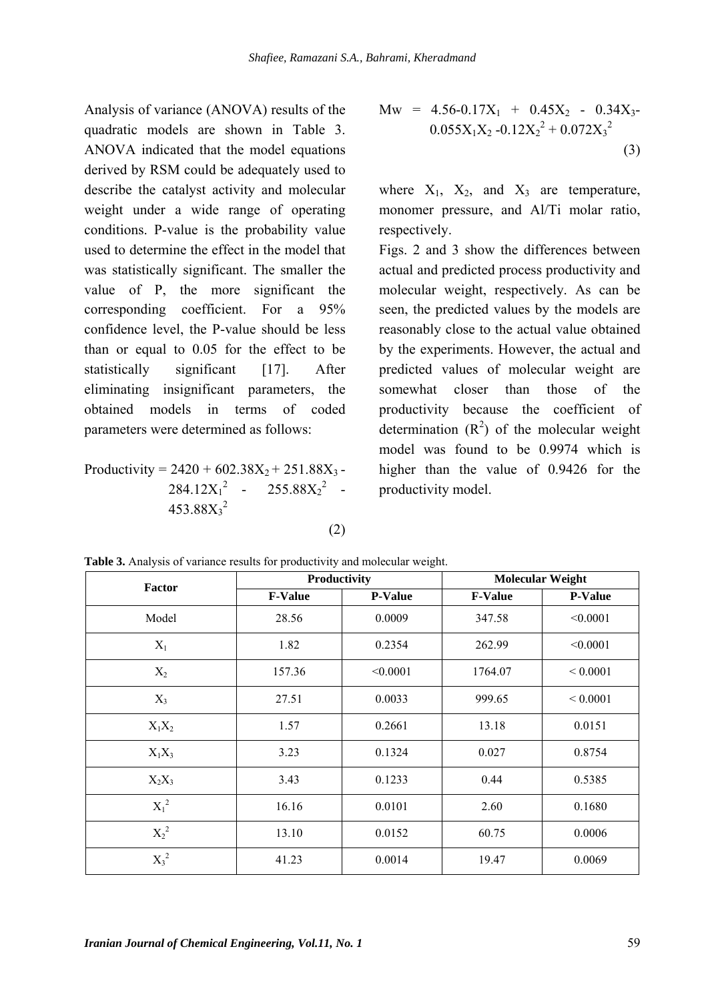Analysis of variance (ANOVA) results of the quadratic models are shown in Table 3. ANOVA indicated that the model equations derived by RSM could be adequately used to describe the catalyst activity and molecular weight under a wide range of operating conditions. P-value is the probability value used to determine the effect in the model that was statistically significant. The smaller the value of P, the more significant the corresponding coefficient. For a 95% confidence level, the P-value should be less than or equal to 0.05 for the effect to be statistically significant [17]. After eliminating insignificant parameters, the obtained models in terms of coded parameters were determined as follows:

Productivity = 
$$
2420 + 602.38X_2 + 251.88X_3 - 284.12X_1^2 - 255.88X_2^2 - 453.88X_3^2
$$

(2)

$$
\text{Mw} = 4.56-0.17X_1 + 0.45X_2 - 0.34X_3 - 0.055X_1X_2 - 0.12X_2^2 + 0.072X_3^2 \tag{3}
$$

where  $X_1$ ,  $X_2$ , and  $X_3$  are temperature, monomer pressure, and Al/Ti molar ratio, respectively.

Figs. 2 and 3 show the differences between actual and predicted process productivity and molecular weight, respectively. As can be seen, the predicted values by the models are reasonably close to the actual value obtained by the experiments. However, the actual and predicted values of molecular weight are somewhat closer than those of the productivity because the coefficient of determination  $(R^2)$  of the molecular weight model was found to be 0.9974 which is higher than the value of 0.9426 for the productivity model.

| Factor   |                | Productivity   | <b>Molecular Weight</b> |                |  |
|----------|----------------|----------------|-------------------------|----------------|--|
|          | <b>F-Value</b> | <b>P-Value</b> | <b>F-Value</b>          | <b>P-Value</b> |  |
| Model    | 28.56          | 0.0009         | 347.58                  | < 0.0001       |  |
| $X_1$    | 1.82           | 0.2354         | 262.99                  | < 0.0001       |  |
| $X_2$    | 157.36         | < 0.0001       | 1764.07                 | ${}< 0.0001$   |  |
| $X_3$    | 27.51          | 0.0033         | 999.65                  | ${}< 0.0001$   |  |
| $X_1X_2$ | 1.57           | 0.2661         | 13.18                   | 0.0151         |  |
| $X_1X_3$ | 3.23           | 0.1324         | 0.027                   | 0.8754         |  |
| $X_2X_3$ | 3.43           | 0.1233         | 0.44                    | 0.5385         |  |
| $X_1^2$  | 16.16          | 0.0101         | 2.60                    | 0.1680         |  |
| $X_2^2$  | 13.10          | 0.0152         | 60.75                   | 0.0006         |  |
| $X_3^2$  | 41.23          | 0.0014         | 19.47                   | 0.0069         |  |

**Table 3.** Analysis of variance results for productivity and molecular weight.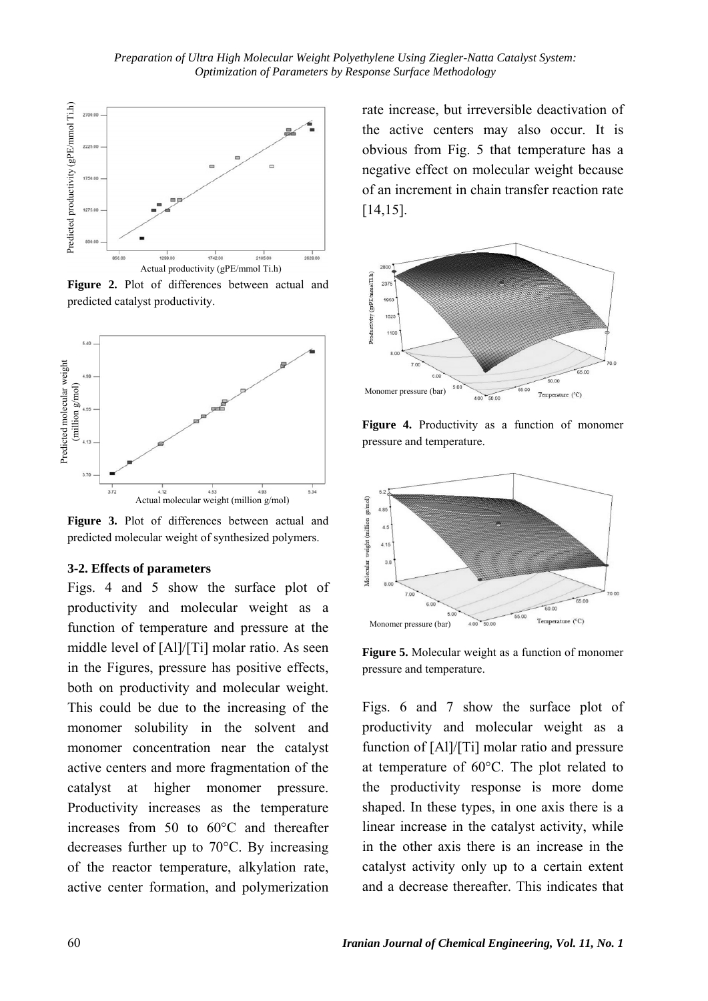

**Figure 2.** Plot of differences between actual and predicted catalyst productivity.



**Figure 3.** Plot of differences between actual and predicted molecular weight of synthesized polymers.

### **3-2. Effects of parameters**

Figs. 4 and 5 show the surface plot of productivity and molecular weight as a function of temperature and pressure at the middle level of [Al]/[Ti] molar ratio. As seen in the Figures, pressure has positive effects, both on productivity and molecular weight. This could be due to the increasing of the monomer solubility in the solvent and monomer concentration near the catalyst active centers and more fragmentation of the catalyst at higher monomer pressure. Productivity increases as the temperature increases from 50 to 60°C and thereafter decreases further up to 70°C. By increasing of the reactor temperature, alkylation rate, active center formation, and polymerization

rate increase, but irreversible deactivation of the active centers may also occur. It is obvious from Fig. 5 that temperature has a negative effect on molecular weight because of an increment in chain transfer reaction rate [14,15].



Figure 4. Productivity as a function of monomer pressure and temperature.



**Figure 5.** Molecular weight as a function of monomer pressure and temperature.

Figs. 6 and 7 show the surface plot of productivity and molecular weight as a function of [Al]/[Ti] molar ratio and pressure at temperature of 60°C. The plot related to the productivity response is more dome shaped. In these types, in one axis there is a linear increase in the catalyst activity, while in the other axis there is an increase in the catalyst activity only up to a certain extent and a decrease thereafter. This indicates that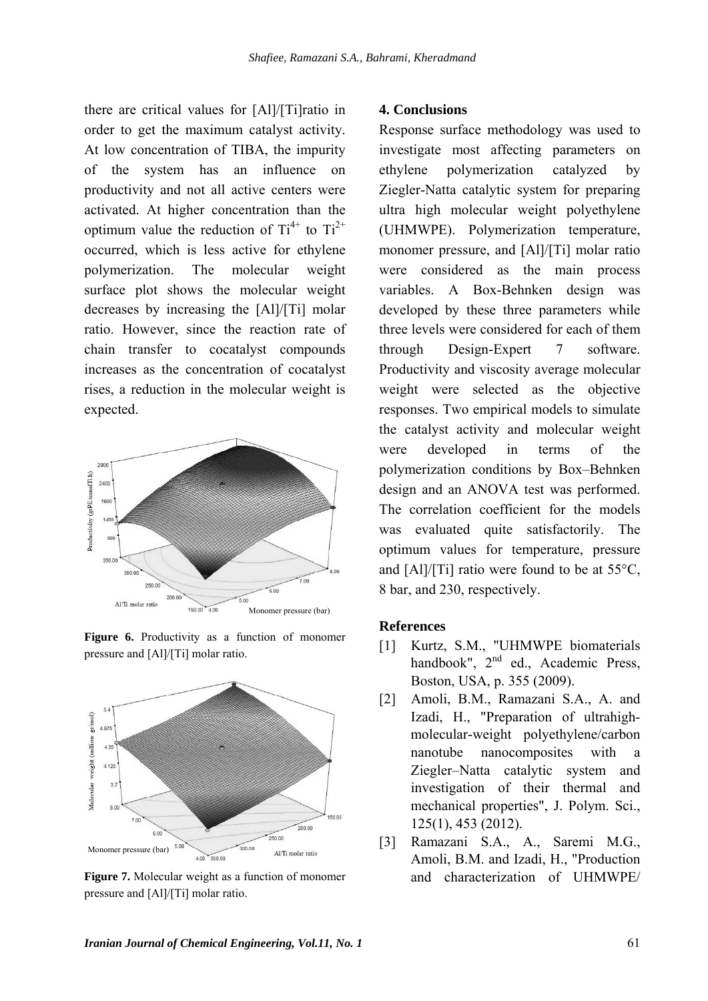there are critical values for [Al]/[Ti]ratio in order to get the maximum catalyst activity. At low concentration of TIBA, the impurity of the system has an influence on productivity and not all active centers were activated. At higher concentration than the optimum value the reduction of  $Ti^{4+}$  to  $Ti^{2+}$ occurred, which is less active for ethylene polymerization. The molecular weight surface plot shows the molecular weight decreases by increasing the [Al]/[Ti] molar ratio. However, since the reaction rate of chain transfer to cocatalyst compounds increases as the concentration of cocatalyst rises, a reduction in the molecular weight is expected.







**Figure 7.** Molecular weight as a function of monomer pressure and [Al]/[Ti] molar ratio.

### **4. Conclusions**

Response surface methodology was used to investigate most affecting parameters on ethylene polymerization catalyzed by Ziegler-Natta catalytic system for preparing ultra high molecular weight polyethylene (UHMWPE). Polymerization temperature, monomer pressure, and [Al]/[Ti] molar ratio were considered as the main process variables. A Box-Behnken design was developed by these three parameters while three levels were considered for each of them through Design-Expert 7 software. Productivity and viscosity average molecular weight were selected as the objective responses. Two empirical models to simulate the catalyst activity and molecular weight were developed in terms of the polymerization conditions by Box–Behnken design and an ANOVA test was performed. The correlation coefficient for the models was evaluated quite satisfactorily. The optimum values for temperature, pressure and [Al]/[Ti] ratio were found to be at 55°C, 8 bar, and 230, respectively.

#### **References**

- [1] Kurtz, S.M., "UHMWPE biomaterials handbook",  $2<sup>nd</sup>$  ed., Academic Press, Boston, USA, p. 355 (2009).
- [2] Amoli, B.M., Ramazani S.A., A. and Izadi, H., "Preparation of ultrahighmolecular-weight polyethylene/carbon nanotube nanocomposites with a Ziegler–Natta catalytic system and investigation of their thermal and mechanical properties", J. Polym. Sci., 125(1), 453 (2012).
- [3] Ramazani S.A., A., Saremi M.G., Amoli, B.M. and Izadi, H., "Production and characterization of UHMWPE/